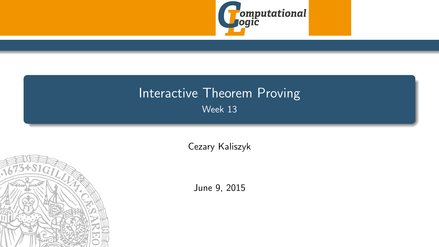

## <span id="page-0-0"></span>Interactive Theorem Proving Week 13

[Cezary Kaliszyk](http://cl-informatik.uibk.ac.at/~cek)



June 9, 2015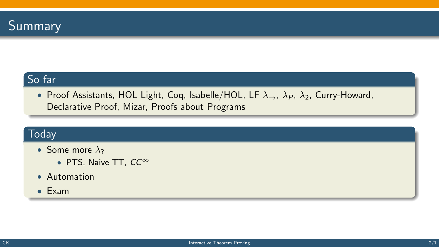

### So far

• Proof Assistants, HOL Light, Coq, Isabelle/HOL, LF  $\lambda_{\rightarrow}$ ,  $\lambda_{P}$ ,  $\lambda_{2}$ , Curry-Howard, Declarative Proof, Mizar, Proofs about Programs

#### **Today**

- Some more  $\lambda_2$ 
	- PTS, Naive TT, CC<sup>∞</sup>
- Automation
- Exam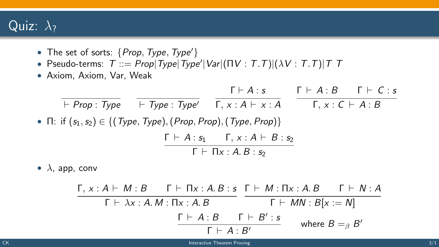### Quiz:  $\lambda_2$

- The set of sorts:  $\{Prop, Type, Type'\}$
- Pseudo-terms:  $\tau ::= \mathit{Prop} | \mathit{Type} | \mathit{Type}' | \mathit{Var} | (\mathsf{HV} : \mathcal{T}.\mathcal{T}) | (\lambda V : \mathcal{T}.\mathcal{T}) | \mathcal{T} \mathcal{T}$
- Axiom, Axiom, Var, Weak

$$
\frac{\Gamma \vdash A : s}{\vdash Prop : Type} \quad \frac{\Gamma \vdash A : s}{\Gamma, x : A \vdash x : A} \quad \frac{\Gamma \vdash A : B \quad \Gamma \vdash C : s}{\Gamma, x : C \vdash A : B}
$$
\n• \Pi: if (s<sub>1</sub>, s<sub>2</sub>) \in \{ (Type, Type), (Prop, Prop), (Type, Prop) \}\n
$$
\frac{\Gamma \vdash A : s_1 \quad \Gamma, x : A \vdash B : s_2}{\Gamma \vdash \Pi x : A B : s_2}
$$

•  $\lambda$ , app, conv

Γ, x : A  $\vdash M : B$  Γ  $\vdash \Pi$ x : A. B  $:$  S Γ  $\vdash M : \Pi$ x : A. B Γ  $\vdash N : A$  $\Gamma \vdash \lambda x : A.M : \Pi x : A.B$   $\Gamma \vdash MN : B[x := N]$  $\Gamma \vdash A : B \quad \Gamma \vdash B' : s$  $Γ$   $\vdash$  A : B' where  $B =_{\beta} B'$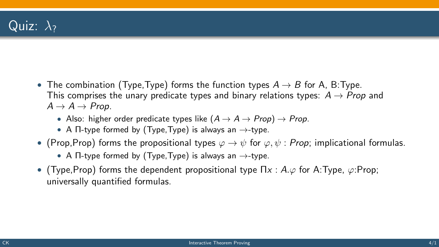- The combination (Type, Type) forms the function types  $A \rightarrow B$  for A, B: Type. This comprises the unary predicate types and binary relations types:  $A \rightarrow Prop$  and  $A \rightarrow A \rightarrow Prop.$ 
	- Also: higher order predicate types like  $(A \rightarrow A \rightarrow Prop) \rightarrow Prop$ .
	- A  $\Pi$ -type formed by (Type, Type) is always an  $\rightarrow$ -type.
- (Prop, Prop) forms the propositional types  $\varphi \to \psi$  for  $\varphi, \psi$ : Prop; implicational formulas.
	- A  $\Pi$ -type formed by (Type, Type) is always an  $\rightarrow$ -type.
- (Type, Prop) forms the dependent propositional type  $\Pi x : A.\varphi$  for A:Type,  $\varphi$ :Prop; universally quantified formulas.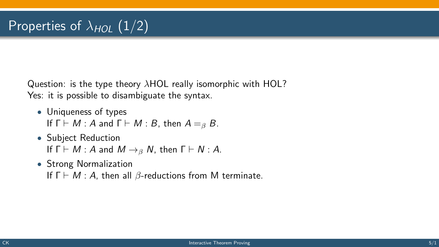Question: is the type theory λHOL really isomorphic with HOL? Yes: it is possible to disambiguate the syntax.

- Uniqueness of types If  $\Gamma \vdash M : A$  and  $\Gamma \vdash M : B$ , then  $A =_{\beta} B$ .
- Subject Reduction If  $\Gamma \vdash M : A$  and  $M \rightarrow_B N$ , then  $\Gamma \vdash N : A$ .
- Strong Normalization If  $\Gamma \vdash M : A$ , then all  $\beta$ -reductions from M terminate.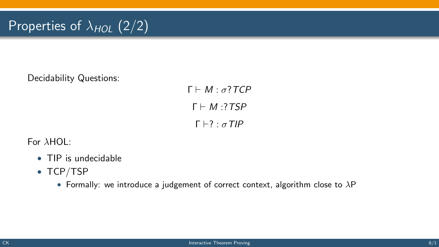# Properties of  $\lambda_{HOL}$  (2/2)

Decidability Questions:

 $Γ ⊢ M ⋅ σ?TCP$  $\Gamma \vdash M \cdot 7TSP$  $\Gamma \vdash ? \cdot \sigma$ TIP

For λHOL:

- TIP is undecidable
- TCP/TSP
	- Formally: we introduce a judgement of correct context, algorithm close to  $\lambda P$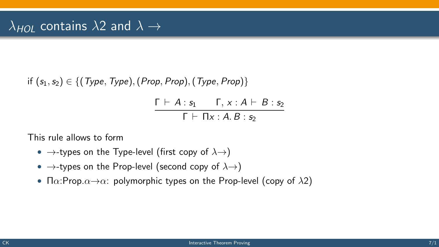if  $(s_1, s_2) \in \{ (Type, Type), (Prop, Prop), (Type, Prop) \}$ 

 $\Gamma \vdash A : s_1 \quad \Gamma, x : A \vdash B : s_2$  $\overline{\Gamma \vdash \Pi x : A \cdot B : s_2}$ 

This rule allows to form

- $\rightarrow$ -types on the Type-level (first copy of  $\lambda \rightarrow$ )
- $\rightarrow$ -types on the Prop-level (second copy of  $\lambda \rightarrow$ )
- $\Pi \alpha$ : Prop. $\alpha \rightarrow \alpha$ : polymorphic types on the Prop-level (copy of  $\lambda$ 2)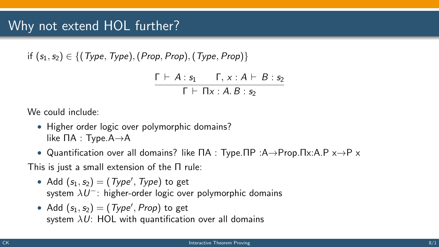if  $(s_1,s_2) \in \{ (Type, Type), (Prop, Prop), (Type, Prop) \}$ 

$$
\frac{\Gamma \vdash A : s_1 \qquad \Gamma, x : A \vdash B : s_2}{\Gamma \vdash \Pi x : A.B : s_2}
$$

We could include:

- Higher order logic over polymorphic domains? like ΠA : Type.A→A
- Quantification over all domains? like ΠA : Type.ΠP :A→Prop.Πx:A.P x→P x

This is just a small extension of the Π rule:

- Add  $(s_1, s_2) = (Type', Type)$  to get system  $\lambda U^-$ : higher-order logic over polymorphic domains
- Add  $(s_1, s_2) = (Type', Prop)$  to get system  $\lambda U$ : HOL with quantification over all domains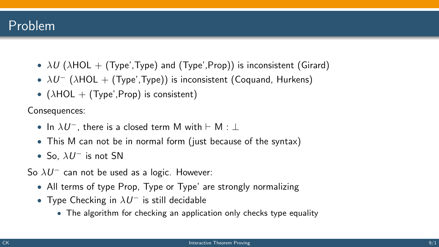## Problem

- $\lambda U$  ( $\lambda$ HOL + (Type',Type) and (Type',Prop)) is inconsistent (Girard)
- $\lambda U^-$  ( $\lambda$ HOL + (Type',Type)) is inconsistent (Coquand, Hurkens)
- ( $\lambda$ HOL + (Type', Prop) is consistent)

Consequences:

- In  $\lambda U^-$ , there is a closed term M with  $\vdash$  M  $: \bot$
- This M can not be in normal form (just because of the syntax)
- So,  $\lambda U^-$  is not SN

So  $\lambda U^-$  can not be used as a logic. However:

- All terms of type Prop, Type or Type' are strongly normalizing
- Type Checking in  $\lambda U^-$  is still decidable
	- The algorithm for checking an application only checks type equality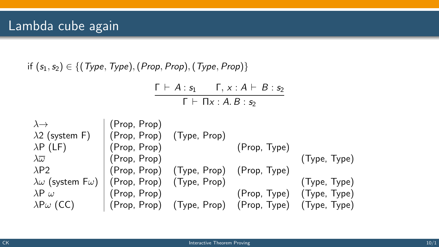if  $(s_1, s_2) \in \{ (Type, Type), (Prop, Prop), (Type, Prop) \}$ 

 $\Gamma \vdash A : s_1 \quad \Gamma, x : A \vdash B : s_2$  $\Gamma \vdash \Pi x : A. B : s_2$ 

| $\lambda \rightarrow$                                             | (Prop, Prop) |                                                     |              |                           |
|-------------------------------------------------------------------|--------------|-----------------------------------------------------|--------------|---------------------------|
| $\lambda$ 2 (system F)                                            |              | (Prop, Prop) (Type, Prop)                           |              |                           |
| $\lambda P$ (LF)                                                  | (Prop, Prop) |                                                     | (Prop, Type) |                           |
| $\lambda \overline{\omega}$                                       | (Prop, Prop) |                                                     |              | (Type, Type)              |
| $\lambda$ P2                                                      |              | (Prop, Prop) (Type, Prop) (Prop, Type)              |              |                           |
| $\lambda \omega$ (system F $\omega$ )   (Prop, Prop) (Type, Prop) |              |                                                     |              | (Type, Type)              |
| $\lambda P \omega$                                                | (Prop, Prop) |                                                     |              | (Prop, Type) (Type, Type) |
| $\lambda P\omega$ (CC)                                            |              | (Prop, Prop) (Type, Prop) (Prop, Type) (Type, Type) |              |                           |
|                                                                   |              |                                                     |              |                           |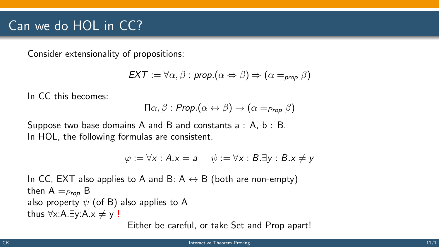## Can we do HOL in CC?

Consider extensionality of propositions:

$$
\mathsf{EXT}:=\forall \alpha,\beta:\mathsf{prop}.(\alpha \Leftrightarrow \beta)\Rightarrow (\alpha=_{\mathsf{prop}}\beta)
$$

In CC this becomes:

$$
\Pi\alpha,\beta: \mathit{Prop}.(\alpha\leftrightarrow\beta)\rightarrow(\alpha=_{\mathit{Prop}}\beta)
$$

Suppose two base domains A and B and constants  $a : A, b : B$ . In HOL, the following formulas are consistent.

$$
\varphi := \forall x : A.x = a \quad \psi := \forall x : B.\exists y : B.x \neq y
$$

In CC, EXT also applies to A and B:  $A \leftrightarrow B$  (both are non-empty) then  $A =_{Pron} B$ also property  $\psi$  (of B) also applies to A thus  $\forall x$ :A.∃y:A. $x \neq y$  !

Either be careful, or take Set and Prop apart!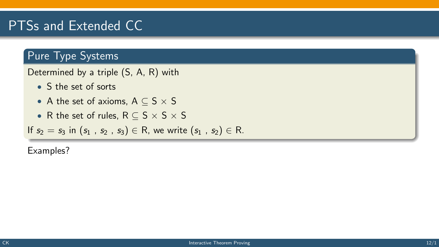## PTSs and Extended CC

### Pure Type Systems

Determined by a triple (S, A, R) with

- S the set of sorts
- A the set of axioms,  $A \subseteq S \times S$
- R the set of rules,  $R \subseteq S \times S \times S$

If  $s_2 = s_3$  in  $(s_1, s_2, s_3) \in R$ , we write  $(s_1, s_2) \in R$ .

Examples?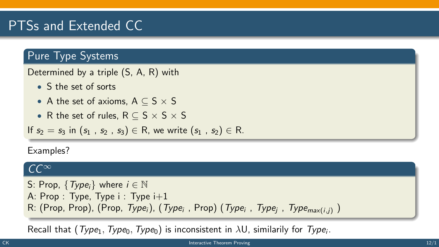# PTSs and Extended CC

### Pure Type Systems

Determined by a triple (S, A, R) with

- S the set of sorts
- A the set of axioms,  $A \subseteq S \times S$
- R the set of rules,  $R \subset S \times S \times S$

If  $s_2 = s_3$  in  $(s_1, s_2, s_3) \in R$ , we write  $(s_1, s_2) \in R$ .

Examples?

#### $CC^{\infty}$

```
S: Prop, \{Type_i\} where i \in \mathbb{N}A: Prop : Type, Type i : Type i+1R: (Prop, Prop), (Prop, Type<sub>i</sub>), (Type<sub>i</sub>, Prop) (Type<sub>i</sub>, Type<sub>j</sub>, Type<sub>max(i,j)</sub>)
```
Recall that  $(\mathit{Type}_1,\mathit{Type}_0,\mathit{Type}_0)$  is inconsistent in  $\lambda U$ , similarily for  $\mathcal{Type}_i$ .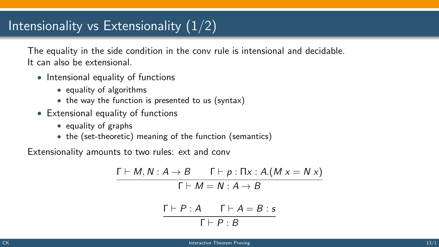## Intensionality vs Extensionality  $(1/2)$

The equality in the side condition in the conv rule is intensional and decidable. It can also be extensional.

- Intensional equality of functions
	- equality of algorithms
	- the way the function is presented to us (syntax)
- Extensional equality of functions
	- equality of graphs
	- the (set-theoretic) meaning of the function (semantics)

Extensionality amounts to two rules: ext and conv

$$
\frac{\Gamma \vdash M, N : A \to B \qquad \Gamma \vdash p : \Pi x : A.(M x = N x)}{\Gamma \vdash M = N : A \to B}
$$
\n
$$
\frac{\Gamma \vdash P : A \qquad \Gamma \vdash A = B : s}{\Gamma \vdash P : B}
$$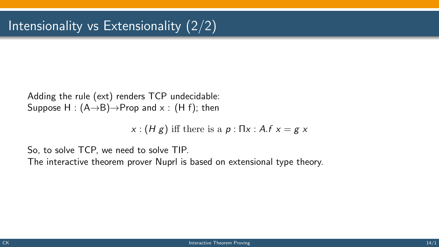Adding the rule (ext) renders TCP undecidable: Suppose H :  $(A\rightarrow B) \rightarrow$ Prop and x : (H f); then

 $x : (H g)$  iff there is a  $p : \Pi x : A.f x = g x$ 

So, to solve TCP, we need to solve TIP.

The interactive theorem prover Nuprl is based on extensional type theory.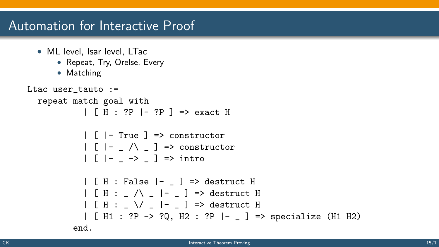## Automation for Interactive Proof

- ML level, Isar level, LTac
	- Repeat, Try, Orelse, Every
	- Matching

```
Ltac user_tauto :=
repeat match goal with
           | [ H : ?P |- ?P ] => exact H
           | \cdot | - True | \Rightarrow constructor
           |\cdot| |\cdot| \wedge \cdot ] => constructor
           |\int | - \rightarrow \rangle |\Rightarrow intro
           | [ H : False |- _ ] => destruct H
           | [ H : _ /\ _ |- _ ] => destruct H
           | [ H : \setminus / | |- \setminus ] => destruct H
           | [ H1 : ?P -> ?Q, H2 : ?P |- _ ] => specialize (H1 H2)
         end.
```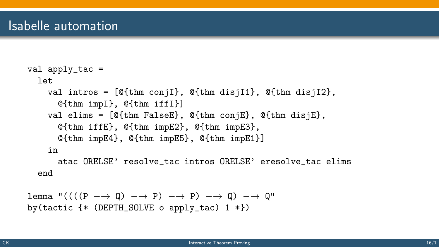```
val apply_tac =let
  val intros = [@{thm conjI}, @{thm disjI1}, @{thm disjI2},
    @{thm impI}, @{thm iffI}]
  val elims = [@{thm FalseE}, @{thm conjE}, @{thm disjE},
    @{thm iffE}, @{thm impE2}, @{thm impE3},
    @{thm impE4}, @{thm impE5}, @{thm impE1}]
  in
    atac ORELSE' resolve_tac intros ORELSE' eresolve_tac elims
```
end

```
lemma "(((P \rightarrow Q) \rightarrow P) \rightarrow P) \rightarrow Q) \rightarrow Q"by(tactic \{* (DEPTH_SOLVE o apply_tac) 1 *\})
```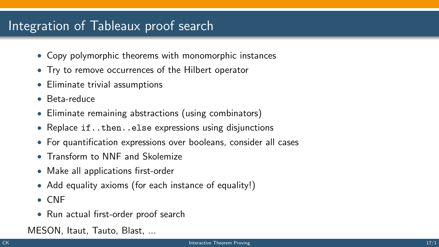## Integration of Tableaux proof search

- Copy polymorphic theorems with monomorphic instances
- Try to remove occurrences of the Hilbert operator
- Eliminate trivial assumptions
- Beta-reduce
- Eliminate remaining abstractions (using combinators)
- Replace if..then..else expressions using disjunctions
- For quantification expressions over booleans, consider all cases
- Transform to NNF and Skolemize
- Make all applications first-order
- Add equality axioms (for each instance of equality!)
- CNF
- Run actual first-order proof search

MESON, Itaut, Tauto, Blast, ...